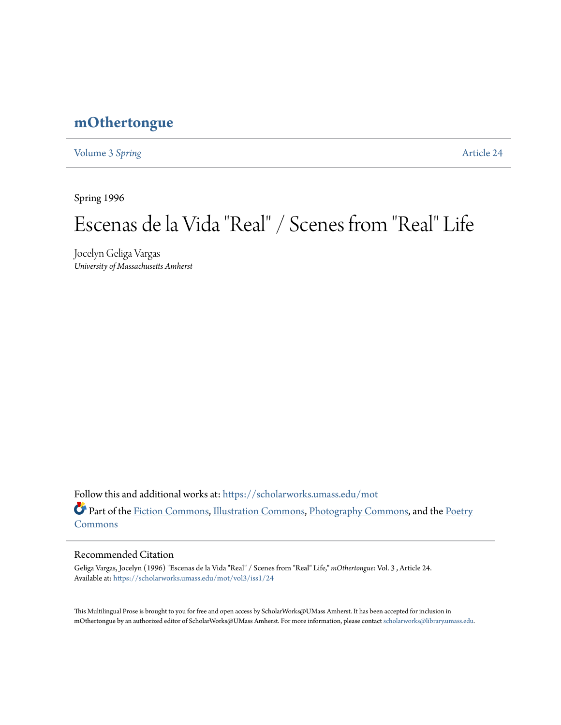## **[mOthertongue](https://scholarworks.umass.edu/mot?utm_source=scholarworks.umass.edu%2Fmot%2Fvol3%2Fiss1%2F24&utm_medium=PDF&utm_campaign=PDFCoverPages)**

[Volume 3](https://scholarworks.umass.edu/mot/vol3?utm_source=scholarworks.umass.edu%2Fmot%2Fvol3%2Fiss1%2F24&utm_medium=PDF&utm_campaign=PDFCoverPages) Spring **[Article 24](https://scholarworks.umass.edu/mot/vol3/iss1/24?utm_source=scholarworks.umass.edu%2Fmot%2Fvol3%2Fiss1%2F24&utm_medium=PDF&utm_campaign=PDFCoverPages)** 

Spring 1996

# Escenas de la Vida "Real" / Scenes from "Real" Life

Jocelyn Geliga Vargas *University of Massachusetts Amherst*

Follow this and additional works at: [https://scholarworks.umass.edu/mot](https://scholarworks.umass.edu/mot?utm_source=scholarworks.umass.edu%2Fmot%2Fvol3%2Fiss1%2F24&utm_medium=PDF&utm_campaign=PDFCoverPages) Part of the [Fiction Commons](http://network.bepress.com/hgg/discipline/1151?utm_source=scholarworks.umass.edu%2Fmot%2Fvol3%2Fiss1%2F24&utm_medium=PDF&utm_campaign=PDFCoverPages), [Illustration Commons,](http://network.bepress.com/hgg/discipline/1135?utm_source=scholarworks.umass.edu%2Fmot%2Fvol3%2Fiss1%2F24&utm_medium=PDF&utm_campaign=PDFCoverPages) [Photography Commons,](http://network.bepress.com/hgg/discipline/1142?utm_source=scholarworks.umass.edu%2Fmot%2Fvol3%2Fiss1%2F24&utm_medium=PDF&utm_campaign=PDFCoverPages) and the [Poetry](http://network.bepress.com/hgg/discipline/1153?utm_source=scholarworks.umass.edu%2Fmot%2Fvol3%2Fiss1%2F24&utm_medium=PDF&utm_campaign=PDFCoverPages) [Commons](http://network.bepress.com/hgg/discipline/1153?utm_source=scholarworks.umass.edu%2Fmot%2Fvol3%2Fiss1%2F24&utm_medium=PDF&utm_campaign=PDFCoverPages)

#### Recommended Citation

Geliga Vargas, Jocelyn (1996) "Escenas de la Vida "Real" / Scenes from "Real" Life," *mOthertongue*: Vol. 3 , Article 24. Available at: [https://scholarworks.umass.edu/mot/vol3/iss1/24](https://scholarworks.umass.edu/mot/vol3/iss1/24?utm_source=scholarworks.umass.edu%2Fmot%2Fvol3%2Fiss1%2F24&utm_medium=PDF&utm_campaign=PDFCoverPages)

This Multilingual Prose is brought to you for free and open access by ScholarWorks@UMass Amherst. It has been accepted for inclusion in mOthertongue by an authorized editor of ScholarWorks@UMass Amherst. For more information, please contact [scholarworks@library.umass.edu](mailto:scholarworks@library.umass.edu).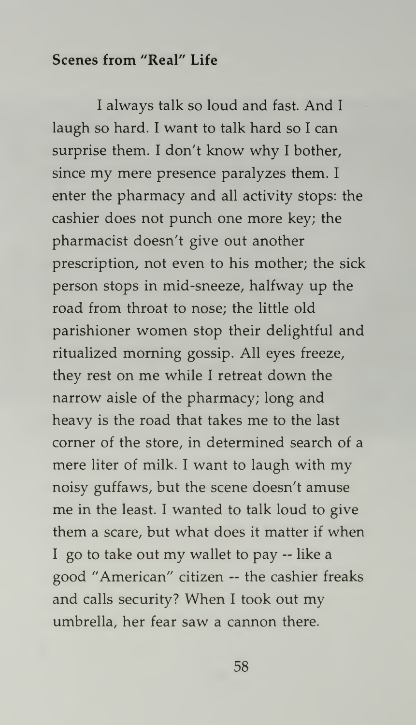### Scenes from "Real" Life

<sup>I</sup> always talk so loud and fast. And <sup>I</sup> laugh so hard. <sup>I</sup> want to talk hard so <sup>I</sup> can surprise them. <sup>I</sup> don't know why <sup>I</sup> bother, since my mere presence paralyzes them. <sup>I</sup> enter the pharmacy and all activity stops: the cashier does not punch one more key; the pharmacist doesn't give out another prescription, not even to his mother; the sick person stops in mid-sneeze, halfway up the road from throat to nose; the little old parishioner women stop their delightful and ritualized morning gossip. All eyes freeze, they rest on me while <sup>I</sup> retreat down the narrow aisle of the pharmacy; long and heavy is the road that takes me to the last corner of the store, in determined search of a mere liter of milk. <sup>I</sup> want to laugh with my noisy guffaws, but the scene doesn't amuse me in the least. <sup>I</sup> wanted to talk loud to give them a scare, but what does it matter if when I go to take out my wallet to pay  $-$  like a good "American" citizen -- the cashier freaks and calls security? When <sup>I</sup> took out my umbrella, her fear saw a cannon there.